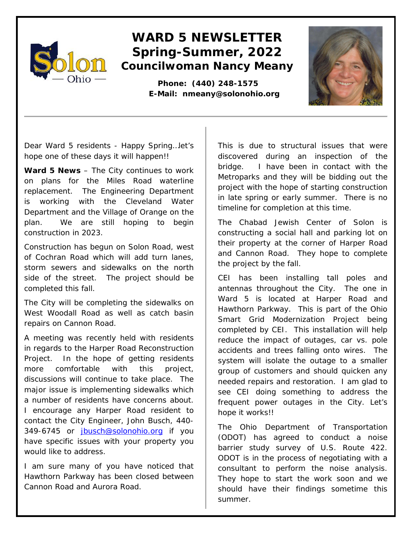

## **WARD 5 NEWSLETTER Spring-Summer, 2022 Councilwoman Nancy Meany**

 **Phone: (440) 248-1575 E-Mail: nmeany@solonohio.org**



Dear Ward 5 residents - Happy Spring…let's hope one of these days it will happen!!

**Ward 5 News** – The City continues to work on plans for the Miles Road waterline replacement. The Engineering Department is working with the Cleveland Water Department and the Village of Orange on the plan. We are still hoping to begin construction in 2023.

Construction has begun on Solon Road, west of Cochran Road which will add turn lanes, storm sewers and sidewalks on the north side of the street. The project should be completed this fall.

The City will be completing the sidewalks on West Woodall Road as well as catch basin repairs on Cannon Road.

A meeting was recently held with residents in regards to the Harper Road Reconstruction Project. In the hope of getting residents more comfortable with this project, discussions will continue to take place. The major issue is implementing sidewalks which a number of residents have concerns about. I encourage any Harper Road resident to contact the City Engineer, John Busch, 440- 349-6745 or [jbusch@solonohio.org](mailto:jbusch@solonohio.org) if you have specific issues with your property you would like to address.

I am sure many of you have noticed that Hawthorn Parkway has been closed between Cannon Road and Aurora Road.

This is due to structural issues that were discovered during an inspection of the bridge. I have been in contact with the Metroparks and they will be bidding out the project with the hope of starting construction in late spring or early summer. There is no timeline for completion at this time.

The Chabad Jewish Center of Solon is constructing a social hall and parking lot on their property at the corner of Harper Road and Cannon Road. They hope to complete the project by the fall.

CEI has been installing tall poles and antennas throughout the City. The one in Ward 5 is located at Harper Road and Hawthorn Parkway. This is part of the Ohio Smart Grid Modernization Project being completed by CEI. This installation will help reduce the impact of outages, car vs. pole accidents and trees falling onto wires. The system will isolate the outage to a smaller group of customers and should quicken any needed repairs and restoration. I am glad to see CEI doing something to address the frequent power outages in the City. Let's hope it works!!

The Ohio Department of Transportation (ODOT) has agreed to conduct a noise barrier study survey of U.S. Route 422. ODOT is in the process of negotiating with a consultant to perform the noise analysis. They hope to start the work soon and we should have their findings sometime this summer.